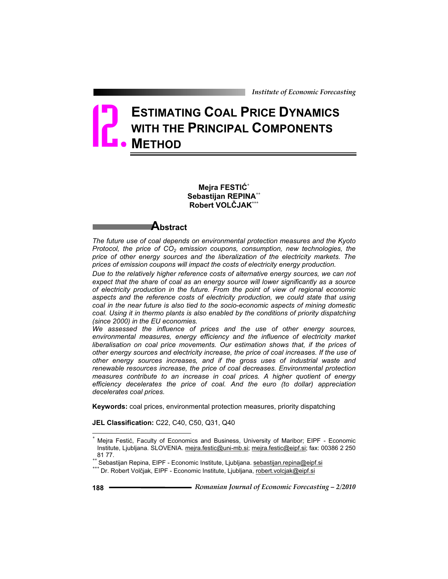# **ESTIMATING COAL PRICE DYNAMICS WITH THE PRINCIPAL COMPONENTS METHOD** 12.

**Mejra FESTIû\* Sebastijan REPINA\*\* Robert VOLýJAK\*\*\***

## **Abstract**

*The future use of coal depends on environmental protection measures and the Kyoto Protocol, the price of*  $CO<sub>2</sub>$  *emission coupons, consumption, new technologies, the price of other energy sources and the liberalization of the electricity markets. The prices of emission coupons will impact the costs of electricity energy production.*

*Due to the relatively higher reference costs of alternative energy sources, we can not expect that the share of coal as an energy source will lower significantly as a source of electricity production in the future. From the point of view of regional economic aspects and the reference costs of electricity production, we could state that using coal in the near future is also tied to the socio-economic aspects of mining domestic coal. Using it in thermo plants is also enabled by the conditions of priority dispatching (since 2000) in the EU economies.* 

*We assessed the influence of prices and the use of other energy sources, environmental measures, energy efficiency and the influence of electricity market liberalisation on coal price movements. Our estimation shows that, if the prices of other energy sources and electricity increase, the price of coal increases. If the use of other energy sources increases, and if the gross uses of industrial waste and renewable resources increase, the price of coal decreases. Environmental protection measures contribute to an increase in coal prices. A higher quotient of energy efficiency decelerates the price of coal. And the euro (to dollar) appreciation decelerates coal prices.* 

**Keywords:** coal prices, environmental protection measures, priority dispatching

**JEL Classification:** C22, C40, C50, Q31, Q40

Mejra Festić, Faculty of Economics and Business, University of Maribor; EIPF - Economic Institute, Ljubljana. SLOVENIA. mejra.festic@uni-mb.si; mejra.festic@eipf.si; fax: 00386 2 250 81 77.<br>\*\* Sebastijan Repina, EIPF - Economic Institute, Ljubljana. <u>sebastijan.repina@eipf.si</u><br>\*\*\* Dr. Robert Volčjak, EIPF - Economic Institute, Ljubljana, <u>robert.volcjak@eipf.si</u>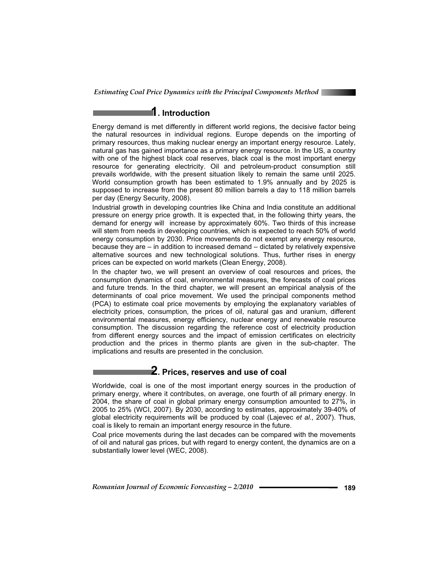

## **1. Introduction**

Energy demand is met differently in different world regions, the decisive factor being the natural resources in individual regions. Europe depends on the importing of primary resources, thus making nuclear energy an important energy resource. Lately, natural gas has gained importance as a primary energy resource. In the US, a country with one of the highest black coal reserves, black coal is the most important energy resource for generating electricity. Oil and petroleum-product consumption still prevails worldwide, with the present situation likely to remain the same until 2025. World consumption growth has been estimated to 1.9% annually and by 2025 is supposed to increase from the present 80 million barrels a day to 118 million barrels per day (Energy Security, 2008).

Industrial growth in developing countries like China and India constitute an additional pressure on energy price growth. It is expected that, in the following thirty years, the demand for energy will increase by approximately 60%. Two thirds of this increase will stem from needs in developing countries, which is expected to reach 50% of world energy consumption by 2030. Price movements do not exempt any energy resource, because they are – in addition to increased demand – dictated by relatively expensive alternative sources and new technological solutions. Thus, further rises in energy prices can be expected on world markets (Clean Energy, 2008).

In the chapter two, we will present an overview of coal resources and prices, the consumption dynamics of coal, environmental measures, the forecasts of coal prices and future trends. In the third chapter, we will present an empirical analysis of the determinants of coal price movement. We used the principal components method (PCA) to estimate coal price movements by employing the explanatory variables of electricity prices, consumption, the prices of oil, natural gas and uranium, different environmental measures, energy efficiency, nuclear energy and renewable resource consumption. The discussion regarding the reference cost of electricity production from different energy sources and the impact of emission certificates on electricity production and the prices in thermo plants are given in the sub-chapter. The implications and results are presented in the conclusion.

## **2. Prices, reserves and use of coal**

Worldwide, coal is one of the most important energy sources in the production of primary energy, where it contributes, on average, one fourth of all primary energy. In 2004, the share of coal in global primary energy consumption amounted to 27%, in 2005 to 25% (WCI, 2007). By 2030, according to estimates, approximately 39-40% of global electricity requirements will be produced by coal (Lajevec *et al*., 2007). Thus, coal is likely to remain an important energy resource in the future.

Coal price movements during the last decades can be compared with the movements of oil and natural gas prices, but with regard to energy content, the dynamics are on a substantially lower level (WEC, 2008).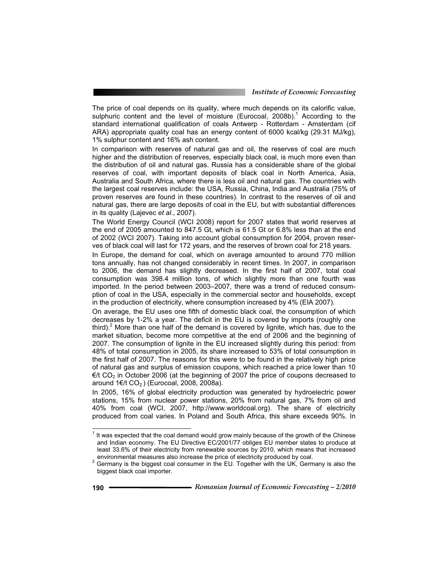The price of coal depends on its quality, where much depends on its calorific value, sulphuric content and the level of moisture (Eurocoal, 2008b).<sup>1</sup> According to the standard international qualification of coals Antwerp - Rotterdam - Amsterdam (cif ARA) appropriate quality coal has an energy content of 6000 kcal/kg (29.31 MJ/kg), 1% sulphur content and 16% ash content.

In comparison with reserves of natural gas and oil, the reserves of coal are much higher and the distribution of reserves, especially black coal, is much more even than the distribution of oil and natural gas. Russia has a considerable share of the global reserves of coal, with important deposits of black coal in North America, Asia, Australia and South Africa, where there is less oil and natural gas. The countries with the largest coal reserves include: the USA, Russia, China, India and Australia (75% of proven reserves are found in these countries). In contrast to the reserves of oil and natural gas, there are large deposits of coal in the EU, but with substantial differences in its quality (Lajevec *et al*., 2007).

The World Energy Council (WCI 2008) report for 2007 states that world reserves at the end of 2005 amounted to 847.5 Gt, which is 61.5 Gt or 6.8% less than at the end of 2002 (WCI 2007). Taking into account global consumption for 2004, proven reserves of black coal will last for 172 years, and the reserves of brown coal for 218 years.

In Europe, the demand for coal, which on average amounted to around 770 million tons annually, has not changed considerably in recent times. In 2007, in comparison to 2006, the demand has slightly decreased. In the first half of 2007, total coal consumption was 398.4 million tons, of which slightly more than one fourth was imported. In the period between 2003–2007, there was a trend of reduced consumption of coal in the USA, especially in the commercial sector and households, except in the production of electricity, where consumption increased by 4% (EIA 2007).

On average, the EU uses one fifth of domestic black coal, the consumption of which decreases by 1-2% a year. The deficit in the EU is covered by imports (roughly one third).<sup>2</sup> More than one half of the demand is covered by lignite, which has, due to the market situation, become more competitive at the end of 2006 and the beginning of 2007. The consumption of lignite in the EU increased slightly during this period: from 48% of total consumption in 2005, its share increased to 53% of total consumption in the first half of 2007. The reasons for this were to be found in the relatively high price of natural gas and surplus of emission coupons, which reached a price lower than 10  $\epsilon/t$  CO<sub>2</sub> in October 2006 (at the beginning of 2007 the price of coupons decreased to around  $1 \in \mathcal{K}$  CO<sub>2</sub>) (Eurocoal, 2008, 2008a).

In 2005, 16% of global electricity production was generated by hydroelectric power stations, 15% from nuclear power stations, 20% from natural gas, 7% from oil and 40% from coal (WCI, 2007, http://www.worldcoal.org). The share of electricity produced from coal varies. In Poland and South Africa, this share exceeds 90%. In

 $1$  It was expected that the coal demand would grow mainly because of the growth of the Chinese and Indian economy. The EU Directive EC/2001/77 obliges EU member states to produce at least 33.6% of their electricity from renewable sources by 2010, which means that increased

environmental measures also increase the price of electricity produced by coal.<br><sup>2</sup> Germany is the biggest coal consumer in the EU. Together with the UK, Germany is also the biggest black coal importer.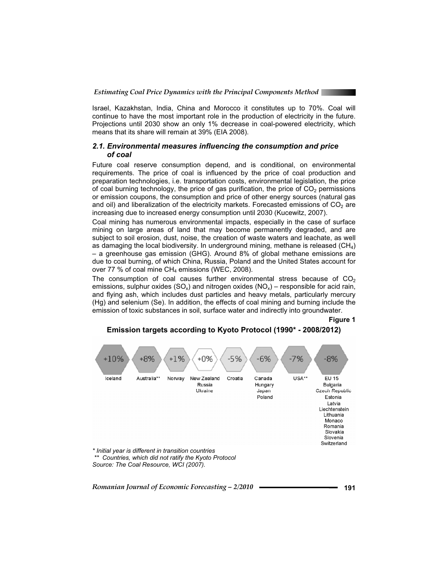

Israel, Kazakhstan, India, China and Morocco it constitutes up to 70%. Coal will continue to have the most important role in the production of electricity in the future. Projections until 2030 show an only 1% decrease in coal-powered electricity, which means that its share will remain at 39% (EIA 2008).

#### *2.1. Environmental measures influencing the consumption and price of coal*

Future coal reserve consumption depend, and is conditional, on environmental requirements. The price of coal is influenced by the price of coal production and preparation technologies, i.e. transportation costs, environmental legislation, the price of coal burning technology, the price of gas purification, the price of  $CO<sub>2</sub>$  permissions or emission coupons, the consumption and price of other energy sources (natural gas and oil) and liberalization of the electricity markets. Forecasted emissions of  $CO<sub>2</sub>$  are increasing due to increased energy consumption until 2030 (Kucewitz, 2007).

Coal mining has numerous environmental impacts, especially in the case of surface mining on large areas of land that may become permanently degraded, and are subject to soil erosion, dust, noise, the creation of waste waters and leachate, as well as damaging the local biodiversity. In underground mining, methane is released  $(CH_4)$ – a greenhouse gas emission (GHG). Around 8% of global methane emissions are due to coal burning, of which China, Russia, Poland and the United States account for over 77 % of coal mine  $CH_4$  emissions (WEC, 2008).

The consumption of coal causes further environmental stress because of  $CO<sub>2</sub>$ emissions, sulphur oxides (SO<sub>x</sub>) and nitrogen oxides (NO<sub>x</sub>) – responsible for acid rain, and flying ash, which includes dust particles and heavy metals, particularly mercury (Hg) and selenium (Se). In addition, the effects of coal mining and burning include the emission of toxic substances in soil, surface water and indirectly into groundwater.

**Figure 1** 

## **Emission targets according to Kyoto Protocol (1990\* - 2008/2012)**

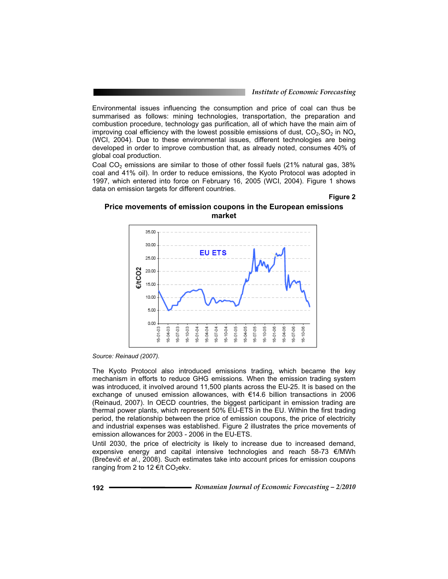Environmental issues influencing the consumption and price of coal can thus be summarised as follows: mining technologies, transportation, the preparation and combustion procedure, technology gas purification, all of which have the main aim of improving coal efficiency with the lowest possible emissions of dust,  $CO_2$ ,  $SO_2$  in NO<sub>x</sub> (WCI, 2004). Due to these environmental issues, different technologies are being developed in order to improve combustion that, as already noted, consumes 40% of global coal production.

Coal CO<sub>2</sub> emissions are similar to those of other fossil fuels (21% natural gas, 38% coal and 41% oil). In order to reduce emissions, the Kyoto Protocol was adopted in 1997, which entered into force on February 16, 2005 (WCI, 2004). Figure 1 shows data on emission targets for different countries.

#### **Figure 2**

#### **Price movements of emission coupons in the European emissions market**



*Source: Reinaud (2007).* 

The Kyoto Protocol also introduced emissions trading, which became the key mechanism in efforts to reduce GHG emissions. When the emission trading system was introduced, it involved around 11,500 plants across the EU-25. It is based on the exchange of unused emission allowances, with €14.6 billion transactions in 2006 (Reinaud, 2007). In OECD countries, the biggest participant in emission trading are thermal power plants, which represent 50% EU-ETS in the EU. Within the first trading period, the relationship between the price of emission coupons, the price of electricity and industrial expenses was established. Figure 2 illustrates the price movements of emission allowances for 2003 - 2006 in the EU-ETS.

Until 2030, the price of electricity is likely to increase due to increased demand, expensive energy and capital intensive technologies and reach 58-73  $\epsilon$ /MWh (Brečevič et al., 2008). Such estimates take into account prices for emission coupons ranging from 2 to 12  $\epsilon/t$  CO<sub>2</sub>ekv.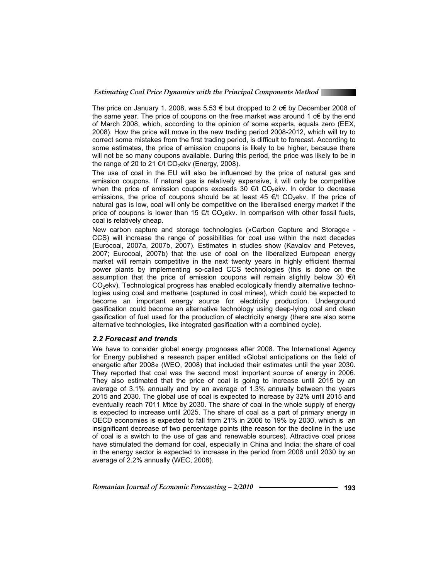

The price on January 1. 2008, was  $5.53 \in$  but dropped to 2  $c \in$  by December 2008 of the same year. The price of coupons on the free market was around 1 c€ by the end of March 2008, which, according to the opinion of some experts, equals zero (EEX, 2008). How the price will move in the new trading period 2008-2012, which will try to correct some mistakes from the first trading period, is difficult to forecast. According to some estimates, the price of emission coupons is likely to be higher, because there will not be so many coupons available. During this period, the price was likely to be in the range of 20 to 21 €/t CO<sub>2</sub>ekv (Energy, 2008).

The use of coal in the EU will also be influenced by the price of natural gas and emission coupons. If natural gas is relatively expensive, it will only be competitive when the price of emission coupons exceeds 30  $\epsilon$ /t CO<sub>2</sub>ekv. In order to decrease emissions, the price of coupons should be at least 45  $\epsilon/t$  CO<sub>2</sub>ekv. If the price of natural gas is low, coal will only be competitive on the liberalised energy market if the price of coupons is lower than 15  $\epsilon/t$  CO<sub>2</sub>ekv. In comparison with other fossil fuels, coal is relatively cheap.

New carbon capture and storage technologies (»Carbon Capture and Storage« - CCS) will increase the range of possibilities for coal use within the next decades (Eurocoal, 2007a, 2007b, 2007). Estimates in studies show (Kavalov and Peteves, 2007; Eurocoal, 2007b) that the use of coal on the liberalized European energy market will remain competitive in the next twenty years in highly efficient thermal power plants by implementing so-called CCS technologies (this is done on the assumption that the price of emission coupons will remain slightly below 30 €/t  $CO<sub>2</sub>$ ekv). Technological progress has enabled ecologically friendly alternative technologies using coal and methane (captured in coal mines), which could be expected to become an important energy source for electricity production. Underground gasification could become an alternative technology using deep-lying coal and clean gasification of fuel used for the production of electricity energy (there are also some alternative technologies, like integrated gasification with a combined cycle).

#### *2.2 Forecast and trends*

We have to consider global energy prognoses after 2008. The International Agency for Energy published a research paper entitled »Global anticipations on the field of energetic after 2008« (WEO, 2008) that included their estimates until the year 2030. They reported that coal was the second most important source of energy in 2006. They also estimated that the price of coal is going to increase until 2015 by an average of 3.1% annually and by an average of 1.3% annually between the years 2015 and 2030. The global use of coal is expected to increase by 32% until 2015 and eventually reach 7011 Mtce by 2030. The share of coal in the whole supply of energy is expected to increase until 2025. The share of coal as a part of primary energy in OECD economies is expected to fall from 21% in 2006 to 19% by 2030, which is an insignificant decrease of two percentage points (the reason for the decline in the use of coal is a switch to the use of gas and renewable sources). Attractive coal prices have stimulated the demand for coal, especially in China and India; the share of coal in the energy sector is expected to increase in the period from 2006 until 2030 by an average of 2.2% annually (WEC, 2008).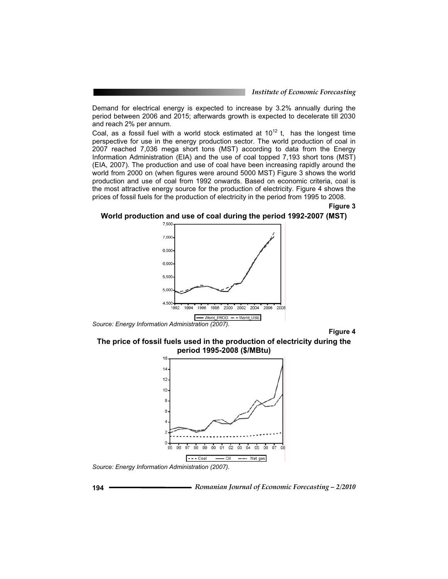Demand for electrical energy is expected to increase by 3.2% annually during the period between 2006 and 2015; afterwards growth is expected to decelerate till 2030 and reach 2% per annum.

Coal, as a fossil fuel with a world stock estimated at  $10^{12}$  t, has the longest time perspective for use in the energy production sector. The world production of coal in 2007 reached 7,036 mega short tons (MST) according to data from the Energy Information Administration (EIA) and the use of coal topped 7,193 short tons (MST) (EIA, 2007). The production and use of coal have been increasing rapidly around the world from 2000 on (when figures were around 5000 MST) Figure 3 shows the world production and use of coal from 1992 onwards. Based on economic criteria, coal is the most attractive energy source for the production of electricity. Figure 4 shows the prices of fossil fuels for the production of electricity in the period from 1995 to 2008.

**Figure 3** 





**Figure 4** 

**The price of fossil fuels used in the production of electricity during the period 1995-2008 (\$/MBtu)** 



*Source: Energy Information Administration (2007).* 



**194** *Romanian Journal of Economic Forecasting – 2/2010*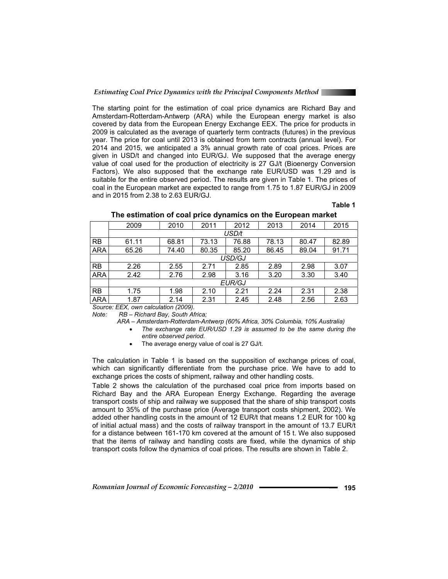The starting point for the estimation of coal price dynamics are Richard Bay and Amsterdam-Rotterdam-Antwerp (ARA) while the European energy market is also covered by data from the European Energy Exchange EEX. The price for products in 2009 is calculated as the average of quarterly term contracts (futures) in the previous year. The price for coal until 2013 is obtained from term contracts (annual level). For 2014 and 2015, we anticipated a 3% annual growth rate of coal prices. Prices are given in USD/t and changed into EUR/GJ. We supposed that the average energy value of coal used for the production of electricity is 27 GJ/t (Bioenergy Conversion Factors). We also supposed that the exchange rate EUR/USD was 1.29 and is suitable for the entire observed period. The results are given in Table 1. The prices of coal in the European market are expected to range from 1.75 to 1.87 EUR/GJ in 2009 and in 2015 from 2.38 to 2.63 EUR/GJ.

## **Table 1**

| 2014<br>2015   |  |  |  |  |  |  |
|----------------|--|--|--|--|--|--|
|                |  |  |  |  |  |  |
| 80.47<br>82.89 |  |  |  |  |  |  |
| 89.04<br>91.71 |  |  |  |  |  |  |
| USD/GJ         |  |  |  |  |  |  |
| 3.07<br>2.98   |  |  |  |  |  |  |
| 3.40<br>3.30   |  |  |  |  |  |  |
| <b>EUR/GJ</b>  |  |  |  |  |  |  |
| 2.38<br>2.31   |  |  |  |  |  |  |
| 2.63<br>2.56   |  |  |  |  |  |  |
|                |  |  |  |  |  |  |

#### **The estimation of coal price dynamics on the European market**

*Source: EEX, own calculation (2009).* 

*Note: RB – Richard Bay, South Africa;* 

*ARA – Amsterdam-Rotterdam-Antwerp (60% Africa, 30% Columbia, 10% Australia)* 

x *The exchange rate EUR/USD 1.29 is assumed to be the same during the entire observed period.* 

 $\bullet$  The average energy value of coal is 27 GJ/t.

The calculation in Table 1 is based on the supposition of exchange prices of coal, which can significantly differentiate from the purchase price. We have to add to exchange prices the costs of shipment, railway and other handling costs.

Table 2 shows the calculation of the purchased coal price from imports based on Richard Bay and the ARA European Energy Exchange. Regarding the average transport costs of ship and railway we supposed that the share of ship transport costs amount to 35% of the purchase price (Average transport costs shipment, 2002). We added other handling costs in the amount of 12 EUR/t that means 1.2 EUR for 100 kg of initial actual mass) and the costs of railway transport in the amount of 13.7 EUR/t for a distance between 161-170 km covered at the amount of 15 t. We also supposed that the items of railway and handling costs are fixed, while the dynamics of ship transport costs follow the dynamics of coal prices. The results are shown in Table 2.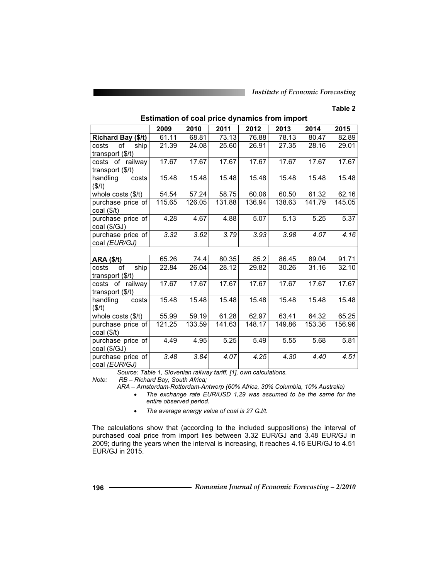#### **Table 2**

|                           | 2009   | 2010   | 2011   | 2012   | 2013   | 2014   | 2015   |
|---------------------------|--------|--------|--------|--------|--------|--------|--------|
| Richard Bay (\$/t)        | 61.11  | 68.81  | 73.13  | 76.88  | 78.13  | 80.47  | 82.89  |
| of<br>ship<br>costs       | 21.39  | 24.08  | 25.60  | 26.91  | 27.35  | 28.16  | 29.01  |
| transport (\$/t)          |        |        |        |        |        |        |        |
| costs of railway          | 17.67  | 17.67  | 17.67  | 17.67  | 17.67  | 17.67  | 17.67  |
| transport (\$/t)          |        |        |        |        |        |        |        |
| handling<br>costs         | 15.48  | 15.48  | 15.48  | 15.48  | 15.48  | 15.48  | 15.48  |
| (\$/t)                    |        |        |        |        |        |        |        |
| whole costs $($/t)$       | 54.54  | 57.24  | 58.75  | 60.06  | 60.50  | 61.32  | 62.16  |
| purchase price of         | 115.65 | 126.05 | 131.88 | 136.94 | 138.63 | 141.79 | 145.05 |
| coal $($/t)$              |        |        |        |        |        |        |        |
| purchase price of         | 4.28   | 4.67   | 4.88   | 5.07   | 5.13   | 5.25   | 5.37   |
| coal (\$/GJ)              |        |        |        |        |        |        |        |
| purchase price of         | 3.32   | 3.62   | 3.79   | 3.93   | 3.98   | 4.07   | 4.16   |
| coal (EUR/GJ)             |        |        |        |        |        |        |        |
|                           |        |        |        |        |        |        |        |
| <b>ARA (\$/t)</b>         | 65.26  | 74.4   | 80.35  | 85.2   | 86.45  | 89.04  | 91.71  |
| ship<br>costs<br>of       | 22.84  | 26.04  | 28.12  | 29.82  | 30.26  | 31.16  | 32.10  |
| transport $($/t)$         |        |        |        |        |        |        |        |
| costs of railway          | 17.67  | 17.67  | 17.67  | 17.67  | 17.67  | 17.67  | 17.67  |
| transport $(\frac{5}{t})$ |        |        |        |        |        |        |        |
| handling<br>costs         | 15.48  | 15.48  | 15.48  | 15.48  | 15.48  | 15.48  | 15.48  |
| (\$/t)                    |        |        |        |        |        |        |        |
| whole costs $($/t)$       | 55.99  | 59.19  | 61.28  | 62.97  | 63.41  | 64.32  | 65.25  |
| purchase price of         | 121.25 | 133.59 | 141.63 | 148.17 | 149.86 | 153.36 | 156.96 |
| $coal ($\frac{1}{2})$     |        |        |        |        |        |        |        |
| purchase price of         | 4.49   | 4.95   | 5.25   | 5.49   | 5.55   | 5.68   | 5.81   |
| coal (\$/GJ)              |        |        |        |        |        |        |        |
| purchase price of         | 3.48   | 3.84   | 4.07   | 4.25   | 4.30   | 4.40   | 4.51   |
| coal (EUR/GJ)             |        |        |        |        |        |        |        |

**Estimation of coal price dynamics from import** 

 *Source: Table 1, Slovenian railway tariff, [1], own calculations.* 

*Note: RB – Richard Bay, South Africa;* 

*ARA – Amsterdam-Rotterdam-Antwerp (60% Africa, 30% Columbia, 10% Australia)* 

x *The exchange rate EUR/USD 1,29 was assumed to be the same for the entire observed period.*

x *The average energy value of coal is 27 GJ/t.* 

The calculations show that (according to the included suppositions) the interval of purchased coal price from import lies between 3.32 EUR/GJ and 3.48 EUR/GJ in 2009; during the years when the interval is increasing, it reaches 4.16 EUR/GJ to 4.51 EUR/GJ in 2015.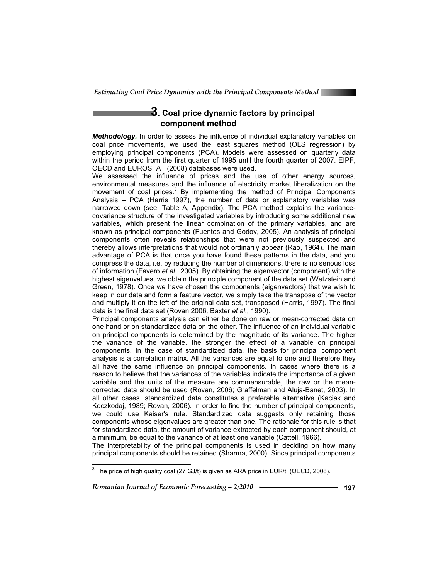

## **3. Coal price dynamic factors by principal component method**

*Methodology.* In order to assess the influence of individual explanatory variables on coal price movements, we used the least squares method (OLS regression) by employing principal components (PCA). Models were assessed on quarterly data within the period from the first quarter of 1995 until the fourth quarter of 2007. EIPF, OECD and EUROSTAT (2008) databases were used.

We assessed the influence of prices and the use of other energy sources, environmental measures and the influence of electricity market liberalization on the movement of coal prices.<sup>3</sup> By implementing the method of Principal Components Analysis – PCA (Harris 1997), the number of data or explanatory variables was narrowed down (see: Table A, Appendix). The PCA method explains the variancecovariance structure of the investigated variables by introducing some additional new variables, which present the linear combination of the primary variables, and are known as principal components (Fuentes and Godoy, 2005). An analysis of principal components often reveals relationships that were not previously suspected and thereby allows interpretations that would not ordinarily appear (Rao, 1964). The main advantage of PCA is that once you have found these patterns in the data, and you compress the data, i.e. by reducing the number of dimensions, there is no serious loss of information (Favero *et al*., 2005). By obtaining the eigenvector (component) with the highest eigenvalues, we obtain the principle component of the data set (Wetzstein and Green, 1978). Once we have chosen the components (eigenvectors) that we wish to keep in our data and form a feature vector, we simply take the transpose of the vector and multiply it on the left of the original data set, transposed (Harris, 1997). The final data is the final data set (Rovan 2006, Baxter *et al*., 1990).

Principal components analysis can either be done on raw or mean-corrected data on one hand or on standardized data on the other. The influence of an individual variable on principal components is determined by the magnitude of its variance. The higher the variance of the variable, the stronger the effect of a variable on principal components. In the case of standardized data, the basis for principal component analysis is a correlation matrix. All the variances are equal to one and therefore they all have the same influence on principal components. In cases where there is a reason to believe that the variances of the variables indicate the importance of a given variable and the units of the measure are commensurable, the raw or the meancorrected data should be used (Rovan, 2006; Graffelman and Aluja-Banet, 2003). In all other cases, standardized data constitutes a preferable alternative (Kaciak and Koczkodaj, 1989; Rovan, 2006). In order to find the number of principal components, we could use Kaiser's rule. Standardized data suggests only retaining those components whose eigenvalues are greater than one. The rationale for this rule is that for standardized data, the amount of variance extracted by each component should, at a minimum, be equal to the variance of at least one variable (Cattell, 1966).

The interpretability of the principal components is used in deciding on how many principal components should be retained (Sharma, 2000). Since principal components

*Romanian Journal of Economic Forecasting – 2/2010* **197**

 $^3$  The price of high quality coal (27 GJ/t) is given as ARA price in EUR/t (OECD, 2008).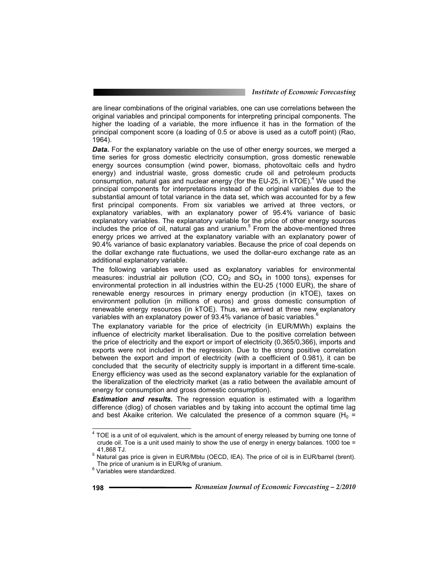are linear combinations of the original variables, one can use correlations between the original variables and principal components for interpreting principal components. The higher the loading of a variable, the more influence it has in the formation of the principal component score (a loading of 0.5 or above is used as a cutoff point) (Rao, 1964).

*Data.* For the explanatory variable on the use of other energy sources, we merged a time series for gross domestic electricity consumption, gross domestic renewable energy sources consumption (wind power, biomass, photovoltaic cells and hydro energy) and industrial waste, gross domestic crude oil and petroleum products consumption, natural gas and nuclear energy (for the EU-25, in kTOE).<sup>4</sup> We used the principal components for interpretations instead of the original variables due to the substantial amount of total variance in the data set, which was accounted for by a few first principal components. From six variables we arrived at three vectors, or explanatory variables, with an explanatory power of 95.4% variance of basic explanatory variables. The explanatory variable for the price of other energy sources includes the price of oil, natural gas and uranium.<sup>5</sup> From the above-mentioned three energy prices we arrived at the explanatory variable with an explanatory power of 90.4% variance of basic explanatory variables. Because the price of coal depends on the dollar exchange rate fluctuations, we used the dollar-euro exchange rate as an additional explanatory variable.

The following variables were used as explanatory variables for environmental measures: industrial air pollution (CO, CO<sub>2</sub> and SO<sub>x</sub> in 1000 tons), expenses for environmental protection in all industries within the EU-25 (1000 EUR), the share of renewable energy resources in primary energy production (in kTOE), taxes on environment pollution (in millions of euros) and gross domestic consumption of renewable energy resources (in kTOE). Thus, we arrived at three new explanatory variables with an explanatory power of 93.4% variance of basic variables.<sup>6</sup>

The explanatory variable for the price of electricity (in EUR/MWh) explains the influence of electricity market liberalisation. Due to the positive correlation between the price of electricity and the export or import of electricity (0,365/0,366), imports and exports were not included in the regression. Due to the strong positive correlation between the export and import of electricity (with a coefficient of 0.981), it can be concluded that the security of electricity supply is important in a different time-scale. Energy efficiency was used as the second explanatory variable for the explanation of the liberalization of the electricity market (as a ratio between the available amount of energy for consumption and gross domestic consumption).

*Estimation and results.* The regression equation is estimated with a logarithm difference (dlog) of chosen variables and by taking into account the optimal time lag and best Akaike criterion. We calculated the presence of a common square ( $H_0 =$ 

 $4$  TOE is a unit of oil equivalent, which is the amount of energy released by burning one tonne of crude oil. Toe is a unit used mainly to show the use of energy in energy balances. 1000 toe =

<sup>&</sup>lt;sub>5</sub> 41,868 TJ.<br><sup>5</sup> Natural gas price is given in EUR/Mbtu (OECD, IEA). The price of oil is in EUR/barrel (brent). The price of uranium is in EUR/kg of uranium.

<sup>&</sup>lt;sup>6</sup> Variables were standardized.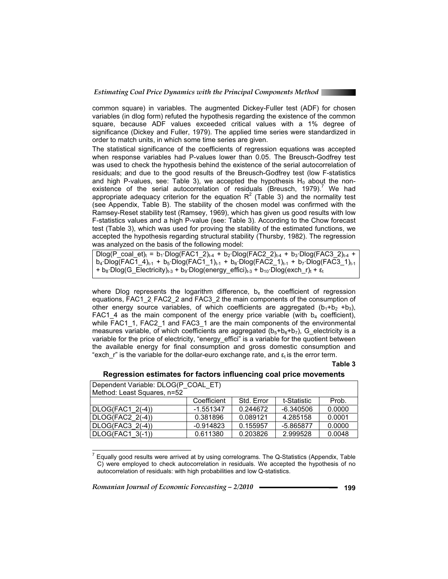

common square) in variables. The augmented Dickey-Fuller test (ADF) for chosen variables (in dlog form) refuted the hypothesis regarding the existence of the common square, because ADF values exceeded critical values with a 1% degree of significance (Dickey and Fuller, 1979). The applied time series were standardized in order to match units, in which some time series are given.

The statistical significance of the coefficients of regression equations was accepted when response variables had P-values lower than 0.05. The Breusch-Godfrey test was used to check the hypothesis behind the existence of the serial autocorrelation of residuals; and due to the good results of the Breusch-Godfrey test (low F-statistics and high P-values, see: Table 3), we accepted the hypothesis  $H_0$  about the nonexistence of the serial autocorrelation of residuals (Breusch, 1979).<sup>7</sup> We had appropriate adequacy criterion for the equation  $R^2$  (Table 3) and the normality test (see Appendix, Table B). The stability of the chosen model was confirmed with the Ramsey-Reset stability test (Ramsey, 1969), which has given us good results with low F-statistics values and a high P-value (see: Table 3). According to the Chow forecast test (Table 3), which was used for proving the stability of the estimated functions, we accepted the hypothesis regarding structural stability (Thursby, 1982). The regression was analyzed on the basis of the following model:

Dlog(P\_coal\_et)<sub>t</sub> = b<sub>1</sub>·Dlog(FAC1\_2)<sub>t-4</sub> + b<sub>2</sub>·Dlog(FAC2\_2)<sub>t-4</sub> + b<sub>3</sub>·Dlog(FAC3\_2)<sub>t-4</sub> +  $b_4$ ·Dlog(FAC1\_4)<sub>t-1</sub> + b<sub>5</sub>·Dlog(FAC1\_1)<sub>t-1</sub> + b<sub>6</sub>·Dlog(FAC2\_1)<sub>t-1</sub> + b<sub>7</sub>·Dlog(FAC3\_1)<sub>t-1</sub> + b<sub>8</sub>·Dlog(G\_Electricity)<sub>t-3</sub> + b<sub>9</sub>·Dlog(energy\_effici)<sub>t-3</sub> + b<sub>10</sub>·Dlog(exch\_r)<sub>t</sub> +  $\varepsilon_t$ 

where Dlog represents the logarithm difference,  $b_x$  the coefficient of regression equations, FAC1\_2, FAC2\_2 and FAC3\_2 the main components of the consumption of other energy source variables, of which coefficients are aggregated  $(b_1+b_2+b_3)$ , FAC1 4 as the main component of the energy price variable (with  $b_4$  coefficient), while FAC1\_1, FAC2\_1 and FAC3\_1 are the main components of the environmental measures variable, of which coefficients are aggregated  $(b_5+b_6+b_7)$ , G electricity is a variable for the price of electricity, "energy effici" is a variable for the quotient between the available energy for final consumption and gross domestic consumption and "exch  $r$ " is the variable for the dollar-euro exchange rate, and  $\epsilon_t$  is the error term.

#### **Table 3**

#### **Regression estimates for factors influencing coal price movements**

| Dependent Variable: DLOG(P COAL ET) |             |            |             |        |  |  |
|-------------------------------------|-------------|------------|-------------|--------|--|--|
| Method: Least Squares, n=52         |             |            |             |        |  |  |
|                                     | Coefficient | Std. Error | t-Statistic | Prob.  |  |  |
| DLOG(FAC1 2(-4))                    | $-1.551347$ | 0.244672   | $-6.340506$ | 0.0000 |  |  |
| DLOG(FAC2_2(-4))                    | 0.381896    | 0.089121   | 4.285158    | 0.0001 |  |  |
| DLOG(FAC3 2(-4))                    | $-0.914823$ | 0.155957   | $-5.865877$ | 0.0000 |  |  |
| DLOG(FAC1 3(-1))                    | 0.611380    | 0.203826   | 2.999528    | 0.0048 |  |  |

 $^7$  Equally good results were arrived at by using correlograms. The Q-Statistics (Appendix, Table C) were employed to check autocorrelation in residuals. We accepted the hypothesis of no autocorrelation of residuals: with high probabilities and low Q-statistics.

*Romanian Journal of Economic Forecasting – 2/2010* **199**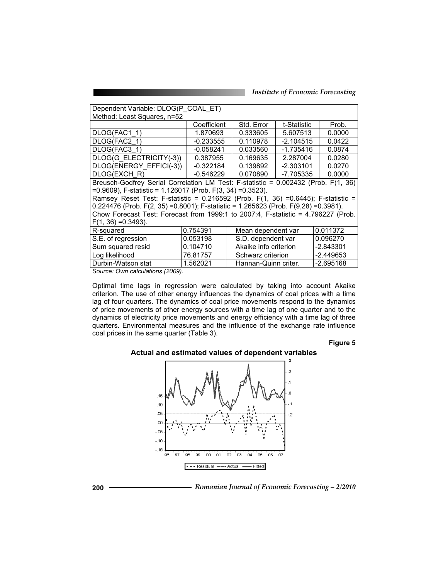| Dependent Variable: DLOG(P COAL ET)                                                    |                                          |                                     |                     |           |  |  |  |
|----------------------------------------------------------------------------------------|------------------------------------------|-------------------------------------|---------------------|-----------|--|--|--|
| Method: Least Squares, n=52                                                            |                                          |                                     |                     |           |  |  |  |
|                                                                                        | Coefficient<br>Std. Error<br>t-Statistic |                                     | Prob.               |           |  |  |  |
| DLOG(FAC1 1)                                                                           | 1.870693                                 | 0.333605                            | 5.607513            | 0.0000    |  |  |  |
| DLOG(FAC2 1)                                                                           | $-0.233555$                              | 0.110978                            | $-2.104515$         | 0.0422    |  |  |  |
| DLOG(FAC3 1)                                                                           | $-0.058241$                              | 0.033560                            | $-1.735416$         | 0.0874    |  |  |  |
| DLOG(G ELECTRICITY(-3))                                                                | 0.387955                                 | 0.169635                            | 2.287004            | 0.0280    |  |  |  |
| DLOG(ENERGY EFFICI(-3))                                                                | -0.322184                                | 0.139892                            | $-2.303101$         | 0.0270    |  |  |  |
| DLOG(EXCH R)                                                                           | -0.546229                                | 0.070890                            | -7.705335<br>0.0000 |           |  |  |  |
| Breusch-Godfrey Serial Correlation LM Test: F-statistic = 0.002432 (Prob. F(1, 36)     |                                          |                                     |                     |           |  |  |  |
| $=0.9609$ , F-statistic = 1.126017 (Prob. F(3, 34) = 0.3523).                          |                                          |                                     |                     |           |  |  |  |
| Ramsey Reset Test: F-statistic = 0.216592 (Prob. F(1, 36) =0.6445); F-statistic =      |                                          |                                     |                     |           |  |  |  |
| $0.224476$ (Prob. F(2, 35) = 0.8001); F-statistic = 1.265623 (Prob. F(9,28) = 0.3981). |                                          |                                     |                     |           |  |  |  |
| Chow Forecast Test: Forecast from 1999:1 to 2007:4, F-statistic = 4.796227 (Prob.      |                                          |                                     |                     |           |  |  |  |
| $F(1, 36) = 0.3493$ ).                                                                 |                                          |                                     |                     |           |  |  |  |
| R-squared                                                                              | 0.754391<br>Mean dependent var           |                                     |                     | 0.011372  |  |  |  |
| S.E. of regression                                                                     | 0.053198                                 | S.D. dependent var                  |                     | 0.096270  |  |  |  |
| Sum squared resid                                                                      | 0.104710                                 | Akaike info criterion               |                     | -2.843301 |  |  |  |
| Log likelihood                                                                         | 76.81757                                 | Schwarz criterion                   |                     | -2.449653 |  |  |  |
| Durbin-Watson stat                                                                     | 1.562021                                 | $-2.695168$<br>Hannan-Quinn criter. |                     |           |  |  |  |

*Source: Own calculations (2009).* 

Optimal time lags in regression were calculated by taking into account Akaike criterion. The use of other energy influences the dynamics of coal prices with a time lag of four quarters. The dynamics of coal price movements respond to the dynamics of price movements of other energy sources with a time lag of one quarter and to the dynamics of electricity price movements and energy efficiency with a time lag of three quarters. Environmental measures and the influence of the exchange rate influence coal prices in the same quarter (Table 3).

#### **Figure 5**

## **Actual and estimated values of dependent variables**



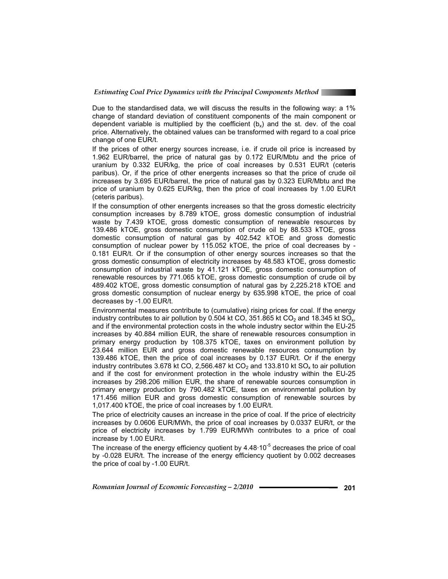

Due to the standardised data, we will discuss the results in the following way: a 1% change of standard deviation of constituent components of the main component or dependent variable is multiplied by the coefficient  $(b_x)$  and the st. dev. of the coal price. Alternatively, the obtained values can be transformed with regard to a coal price change of one EUR/t.

If the prices of other energy sources increase, i.e. if crude oil price is increased by 1.962 EUR/barrel, the price of natural gas by 0.172 EUR/Mbtu and the price of uranium by 0.332 EUR/kg, the price of coal increases by 0.531 EUR/t (ceteris paribus). Or, if the price of other energents increases so that the price of crude oil increases by 3.695 EUR/barrel, the price of natural gas by 0.323 EUR/Mbtu and the price of uranium by 0.625 EUR/kg, then the price of coal increases by 1.00 EUR/t (ceteris paribus).

If the consumption of other energents increases so that the gross domestic electricity consumption increases by 8.789 kTOE, gross domestic consumption of industrial waste by 7.439 kTOE, gross domestic consumption of renewable resources by 139.486 kTOE, gross domestic consumption of crude oil by 88.533 kTOE, gross domestic consumption of natural gas by 402.542 kTOE and gross domestic consumption of nuclear power by 115.052 kTOE, the price of coal decreases by - 0.181 EUR/t. Or if the consumption of other energy sources increases so that the gross domestic consumption of electricity increases by 48.583 kTOE, gross domestic consumption of industrial waste by 41.121 kTOE, gross domestic consumption of renewable resources by 771.065 kTOE, gross domestic consumption of crude oil by 489.402 kTOE, gross domestic consumption of natural gas by 2,225.218 kTOE and gross domestic consumption of nuclear energy by 635.998 kTOE, the price of coal decreases by -1.00 EUR/t.

Environmental measures contribute to (cumulative) rising prices for coal. If the energy industry contributes to air pollution by 0.504 kt CO, 351.865 kt CO<sub>2</sub> and 18.345 kt SO<sub>x</sub>, and if the environmental protection costs in the whole industry sector within the EU-25 increases by 40.884 million EUR, the share of renewable resources consumption in primary energy production by 108.375 kTOE, taxes on environment pollution by 23.644 million EUR and gross domestic renewable resources consumption by 139.486 kTOE, then the price of coal increases by 0.137 EUR/t. Or if the energy industry contributes 3.678 kt CO, 2,566.487 kt CO<sub>2</sub> and 133.810 kt SO<sub>x</sub> to air pollution and if the cost for environment protection in the whole industry within the EU-25 increases by 298.206 million EUR, the share of renewable sources consumption in primary energy production by 790.482 kTOE, taxes on environmental pollution by 171.456 million EUR and gross domestic consumption of renewable sources by 1,017.400 kTOE, the price of coal increases by 1.00 EUR/t.

The price of electricity causes an increase in the price of coal. If the price of electricity increases by 0.0606 EUR/MWh, the price of coal increases by 0.0337 EUR/t, or the price of electricity increases by 1.799 EUR/MWh contributes to a price of coal increase by 1.00 EUR/t.

The increase of the energy efficiency quotient by  $4.48 \cdot 10^{-5}$  decreases the price of coal by -0.028 EUR/t. The increase of the energy efficiency quotient by 0.002 decreases the price of coal by -1.00 EUR/t.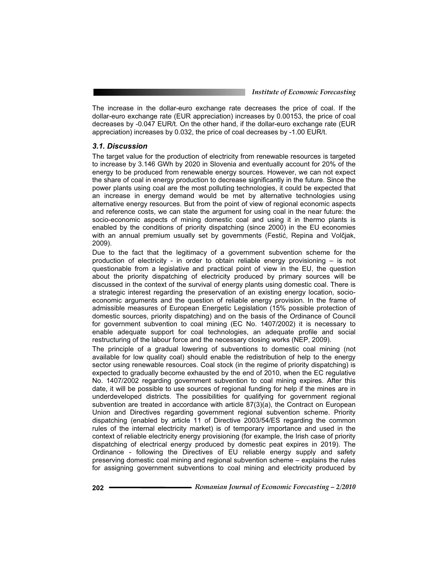The increase in the dollar-euro exchange rate decreases the price of coal. If the dollar-euro exchange rate (EUR appreciation) increases by 0.00153, the price of coal decreases by -0.047 EUR/t. On the other hand, if the dollar-euro exchange rate (EUR appreciation) increases by 0.032, the price of coal decreases by -1.00 EUR/t.

#### *3.1. Discussion*

The target value for the production of electricity from renewable resources is targeted to increase by 3.146 GWh by 2020 in Slovenia and eventually account for 20% of the energy to be produced from renewable energy sources. However, we can not expect the share of coal in energy production to decrease significantly in the future. Since the power plants using coal are the most polluting technologies, it could be expected that an increase in energy demand would be met by alternative technologies using alternative energy resources. But from the point of view of regional economic aspects and reference costs, we can state the argument for using coal in the near future: the socio-economic aspects of mining domestic coal and using it in thermo plants is enabled by the conditions of priority dispatching (since 2000) in the EU economies with an annual premium usually set by governments (Festić, Repina and Volčjak, 2009).

Due to the fact that the legitimacy of a government subvention scheme for the production of electricity - in order to obtain reliable energy provisioning – is not questionable from a legislative and practical point of view in the EU, the question about the priority dispatching of electricity produced by primary sources will be discussed in the context of the survival of energy plants using domestic coal. There is a strategic interest regarding the preservation of an existing energy location, socioeconomic arguments and the question of reliable energy provision. In the frame of admissible measures of European Energetic Legislation (15% possible protection of domestic sources, priority dispatching) and on the basis of the Ordinance of Council for government subvention to coal mining (EC No. 1407/2002) it is necessary to enable adequate support for coal technologies, an adequate profile and social restructuring of the labour force and the necessary closing works (NEP, 2009).

The principle of a gradual lowering of subventions to domestic coal mining (not available for low quality coal) should enable the redistribution of help to the energy sector using renewable resources. Coal stock (in the regime of priority dispatching) is expected to gradually become exhausted by the end of 2010, when the EC regulative No. 1407/2002 regarding government subvention to coal mining expires. After this date, it will be possible to use sources of regional funding for help if the mines are in underdeveloped districts. The possibilities for qualifying for government regional subvention are treated in accordance with article  $87(3)(a)$ , the Contract on European Union and Directives regarding government regional subvention scheme. Priority dispatching (enabled by article 11 of Directive 2003/54/ES regarding the common rules of the internal electricity market) is of temporary importance and used in the context of reliable electricity energy provisioning (for example, the Irish case of priority dispatching of electrical energy produced by domestic peat expires in 2019). The Ordinance - following the Directives of EU reliable energy supply and safety preserving domestic coal mining and regional subvention scheme – explains the rules for assigning government subventions to coal mining and electricity produced by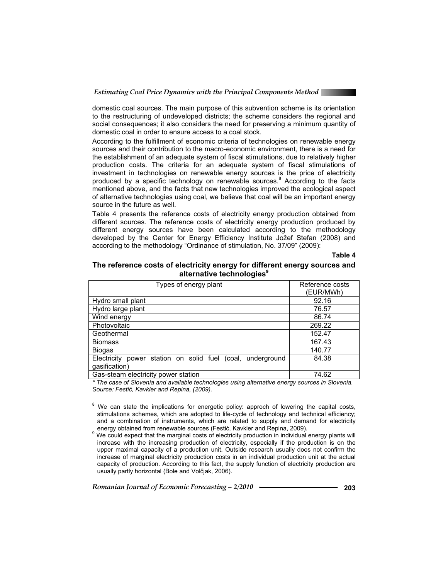

domestic coal sources. The main purpose of this subvention scheme is its orientation to the restructuring of undeveloped districts; the scheme considers the regional and social consequences; it also considers the need for preserving a minimum quantity of domestic coal in order to ensure access to a coal stock.

According to the fulfillment of economic criteria of technologies on renewable energy sources and their contribution to the macro-economic environment, there is a need for the establishment of an adequate system of fiscal stimulations, due to relatively higher production costs. The criteria for an adequate system of fiscal stimulations of investment in technologies on renewable energy sources is the price of electricity produced by a specific technology on renewable sources.<sup>8</sup> According to the facts mentioned above, and the facts that new technologies improved the ecological aspect of alternative technologies using coal, we believe that coal will be an important energy source in the future as well.

Table 4 presents the reference costs of electricity energy production obtained from different sources. The reference costs of electricity energy production produced by different energy sources have been calculated according to the methodology developed by the Center for Energy Efficiency Institute Jožef Stefan (2008) and according to the methodology "Ordinance of stimulation, No. 37/09" (2009):

#### **Table 4**

#### **The reference costs of electricity energy for different energy sources and alternative technologies<sup>9</sup>**

| Types of energy plant                                         | Reference costs<br>(EUR/MWh) |
|---------------------------------------------------------------|------------------------------|
| Hydro small plant                                             | 92.16                        |
| Hydro large plant                                             | 76.57                        |
| Wind energy                                                   | 86.74                        |
| Photovoltaic                                                  | 269.22                       |
| Geothermal                                                    | 152.47                       |
| <b>Biomass</b>                                                | 167.43                       |
| <b>Biogas</b>                                                 | 140.77                       |
| Electricity<br>power station on solid fuel (coal, underground | 84.38                        |
| gasification)                                                 |                              |
| Gas-steam electricity power station                           | 74.62                        |

*\* The case of Slovenia and available technologies using alternative energy sources in Slovenia. Source: Festiü, Kavkler and Repina, (2009).*

<sup>8</sup> We can state the implications for energetic policy: approch of lowering the capital costs, stimulations schemes, which are adopted to life-cycle of technology and technical efficiency; and a combination of instruments, which are related to supply and demand for electricity

*Romanian Journal of Economic Forecasting – 2/2010* **203**

energy obtained from renewable sources (Festić, Kavkler and Repina, 2009).<br><sup>9</sup> We could expect that the marginal costs of electricity production in individual energy plants will increase with the increasing production of electricity, especially if the production is on the upper maximal capacity of a production unit. Outside research usually does not confirm the increase of marginal electricity production costs in an individual production unit at the actual capacity of production. According to this fact, the supply function of electricity production are usually partly horizontal (Bole and Volčiak, 2006).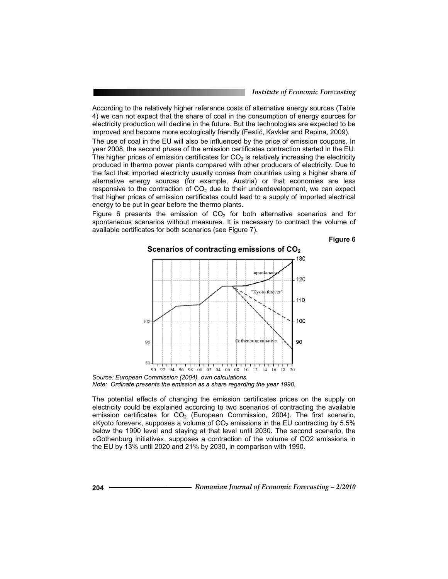According to the relatively higher reference costs of alternative energy sources (Table 4) we can not expect that the share of coal in the consumption of energy sources for electricity production will decline in the future. But the technologies are expected to be improved and become more ecologically friendly (Festić, Kavkler and Repina, 2009).

The use of coal in the EU will also be influenced by the price of emission coupons. In year 2008, the second phase of the emission certificates contraction started in the EU. The higher prices of emission certificates for  $CO<sub>2</sub>$  is relatively increasing the electricity produced in thermo power plants compared with other producers of electricity. Due to the fact that imported electricity usually comes from countries using a higher share of alternative energy sources (for example, Austria) or that economies are less responsive to the contraction of  $CO<sub>2</sub>$  due to their underdevelopment, we can expect that higher prices of emission certificates could lead to a supply of imported electrical energy to be put in gear before the thermo plants.

Figure 6 presents the emission of  $CO<sub>2</sub>$  for both alternative scenarios and for spontaneous scenarios without measures. It is necessary to contract the volume of available certificates for both scenarios (see Figure 7).

**Figure 6** 



*Note: Ordinate presents the emission as a share regarding the year 1990.* 

The potential effects of changing the emission certificates prices on the supply on electricity could be explained according to two scenarios of contracting the available emission certificates for  $CO<sub>2</sub>$  (European Commission, 2004). The first scenario, »Kyoto forever«, supposes a volume of  $CO<sub>2</sub>$  emissions in the EU contracting by 5.5% below the 1990 level and staying at that level until 2030. The second scenario, the »Gothenburg initiative«, supposes a contraction of the volume of CO2 emissions in the EU by 13% until 2020 and 21% by 2030, in comparison with 1990.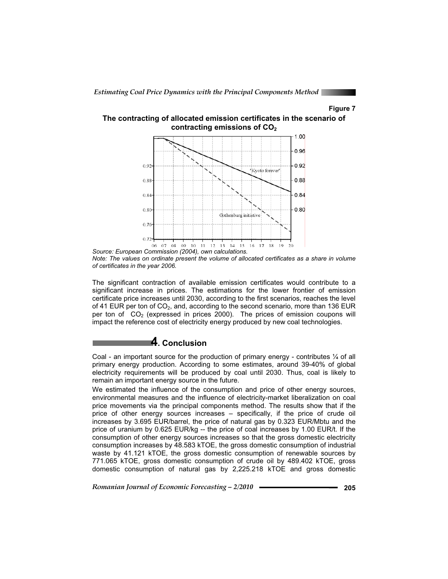#### **Figure 7**





The significant contraction of available emission certificates would contribute to a significant increase in prices. The estimations for the lower frontier of emission certificate price increases until 2030, according to the first scenarios, reaches the level of 41 EUR per ton of  $CO<sub>2</sub>$ , and, according to the second scenario, more than 136 EUR per ton of  $CO<sub>2</sub>$  (expressed in prices 2000). The prices of emission coupons will impact the reference cost of electricity energy produced by new coal technologies.

## **4. Conclusion**

Coal - an important source for the production of primary energy - contributes  $\frac{1}{4}$  of all primary energy production. According to some estimates, around 39-40% of global electricity requirements will be produced by coal until 2030. Thus, coal is likely to remain an important energy source in the future.

We estimated the influence of the consumption and price of other energy sources, environmental measures and the influence of electricity-market liberalization on coal price movements via the principal components method. The results show that if the price of other energy sources increases – specifically, if the price of crude oil increases by 3.695 EUR/barrel, the price of natural gas by 0.323 EUR/Mbtu and the price of uranium by 0.625 EUR/kg -- the price of coal increases by 1.00 EUR/t. If the consumption of other energy sources increases so that the gross domestic electricity consumption increases by 48.583 kTOE, the gross domestic consumption of industrial waste by 41.121 kTOE, the gross domestic consumption of renewable sources by 771.065 kTOE, gross domestic consumption of crude oil by 489.402 kTOE, gross domestic consumption of natural gas by 2,225.218 kTOE and gross domestic

*Source: European Commission (2004), own calculations. Note: The values on ordinate present the volume of allocated certificates as a share in volume of certificates in the year 2006.*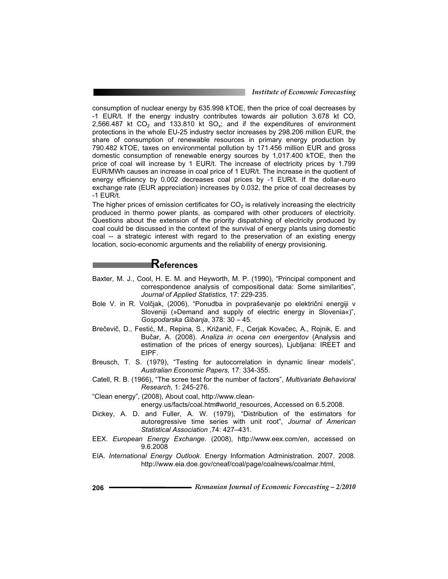consumption of nuclear energy by 635.998 kTOE, then the price of coal decreases by -1 EUR/t. If the energy industry contributes towards air pollution 3.678 kt CO, 2,566.487 kt  $CO<sub>2</sub>$  and 133.810 kt  $SO<sub>x</sub>$ ; and if the expenditures of environment protections in the whole EU-25 industry sector increases by 298.206 million EUR, the share of consumption of renewable resources in primary energy production by 790.482 kTOE, taxes on environmental pollution by 171.456 million EUR and gross domestic consumption of renewable energy sources by 1,017.400 kTOE, then the price of coal will increase by 1 EUR/t. The increase of electricity prices by 1.799 EUR/MWh causes an increase in coal price of 1 EUR/t. The increase in the quotient of energy efficiency by 0.002 decreases coal prices by -1 EUR/t. If the dollar-euro exchange rate (EUR appreciation) increases by 0.032, the price of coal decreases by -1 EUR/t.

The higher prices of emission certificates for  $CO<sub>2</sub>$  is relatively increasing the electricity produced in thermo power plants, as compared with other producers of electricity. Questions about the extension of the priority dispatching of electricity produced by coal could be discussed in the context of the survival of energy plants using domestic coal -- a strategic interest with regard to the preservation of an existing energy location, socio-economic arguments and the reliability of energy provisioning.

## **References**

- Baxter, M. J., Cool, H. E. M. and Heyworth, M. P. (1990), "Principal component and correspondence analysis of compositional data: Some similarities", *Journal of Applied Statistics,* 17: 229-235.
- Bole V. in R. Volčjak, (2006), "Ponudba in povpraševanje po električni energiji v Sloveniji (»Demand and supply of electric energy in Slovenia«)", *Gospodarska Gibanja*, 378: 30 – 45.
- Brečevič, D., Festić, M., Repina, S., Križanič, F., Cerjak Kovačec, A., Rojnik, E. and Bučar, A. (2008). *Analiza in ocena cen energentov* (Analysis and estimation of the prices of energy sources), Ljubljana: IREET and EIPF.
- Breusch, T. S. (1979), "Testing for autocorrelation in dynamic linear models", *Australian Economic Papers,* 17: 334-355.
- Catell, R. B. (1966), "The scree test for the number of factors", *Multivariate Behavioral Research,* 1: 245-276.
- "Clean energy", (2008), About coal, http://www.cleanenergy.us/facts/coal.htm#world\_resources, Accessed on 6.5.2008.
- Dickey, A. D. and Fuller, A. W. (1979), "Distribution of the estimators for autoregressive time series with unit root", *Journal of American Statistical Association* ,74: 427–431.
- EEX. *European Energy Exchange*. (2008), http://www.eex.com/en, accessed on 9.6.2008
- EIA. *International Energy Outlook*. Energy Information Administration. 2007. 2008. http://www.eia.doe.gov/cneaf/coal/page/coalnews/coalmar.html,
- **206** *Romanian Journal of Economic Forecasting 2/2010*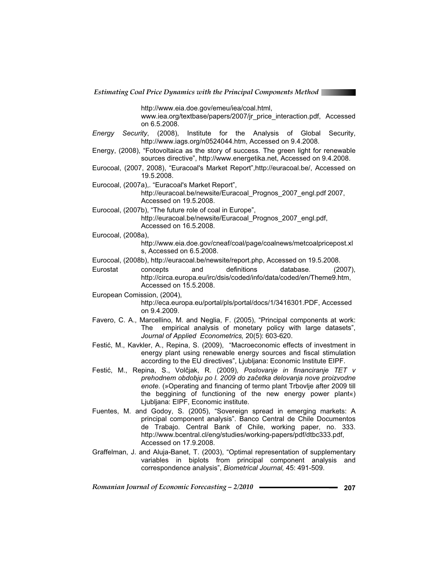

http://www.eia.doe.gov/emeu/iea/coal.html,

www.iea.org/textbase/papers/2007/jr\_price\_interaction.pdf, Accessed on 6.5.2008.

- *Energy Security*, (2008), Institute for the Analysis of Global Security, http://www.iags.org/n0524044.htm, Accessed on 9.4.2008.
- Energy, (2008), "Fotovoltaica as the story of success. The green light for renewable sources directive", http://www.energetika.net, Accessed on 9.4.2008.
- Eurocoal, (2007, 2008), "Euracoal's Market Report",http://euracoal.be/, Accessed on 19.5.2008.
- Eurocoal, (2007a),. "Euracoal's Market Report",

http://euracoal.be/newsite/Euracoal\_Prognos\_2007\_engl.pdf 2007, Accessed on 19.5.2008.

Eurocoal, (2007b), "The future role of coal in Europe", http://euracoal.be/newsite/Euracoal\_Prognos\_2007\_engl.pdf, Accessed on 16.5.2008.

Eurocoal, (2008a),

http://www.eia.doe.gov/cneaf/coal/page/coalnews/metcoalpricepost.xl s, Accessed on 6.5.2008.

- Eurocoal, (2008b), http://euracoal.be/newsite/report.php, Accessed on 19.5.2008.
- Eurostat concepts and definitions database. (2007), http://circa.europa.eu/irc/dsis/coded/info/data/coded/en/Theme9.htm, Accessed on 15.5.2008.
- European Comission, (2004), http://eca.europa.eu/portal/pls/portal/docs/1/3416301.PDF, Accessed on 9.4.2009.
- Favero, C. A., Marcellino, M. and Neglia, F. (2005), "Principal components at work: The empirical analysis of monetary policy with large datasets", *Journal of Applied Econometrics,* 20(5): 603-620.
- Festić, M., Kavkler, A., Repina, S. (2009), "Macroeconomic effects of investment in energy plant using renewable energy sources and fiscal stimulation according to the EU directives", Ljubljana: Economic Institute EIPF.
- Festić, M., Repina, S., Volčjak, R. (2009), Poslovanje in financiranje TET v *prehodnem obdobju po l. 2009 do zaþetka delovanja nove proizvodne enote*. (»Operating and financing of termo plant Trbovlje after 2009 till the beggining of functioning of the new energy power plant«) Ljubljana: EIPF, Economic institute.
- Fuentes, M. and Godoy, S. (2005), "Sovereign spread in emerging markets: A principal component analysis". Banco Central de Chile Documentos de Trabajo. Central Bank of Chile, working paper, no. 333. http://www.bcentral.cl/eng/studies/working-papers/pdf/dtbc333.pdf, Accessed on 17.9.2008.
- Graffelman, J. and Aluja-Banet, T. (2003), "Optimal representation of supplementary variables in biplots from principal component analysis and correspondence analysis", *Biometrical Journal,* 45: 491-509.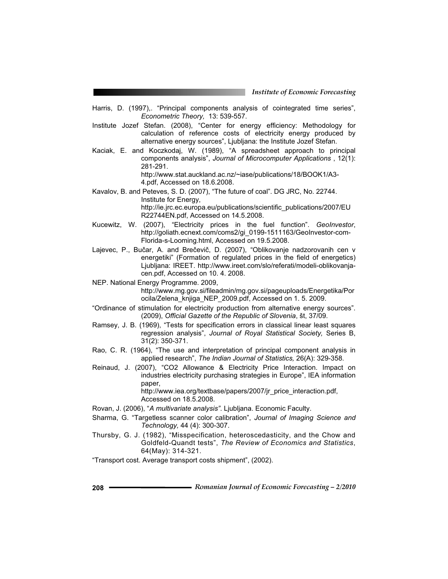- Harris, D. (1997),. "Principal components analysis of cointegrated time series", *Econometric Theory,* 13: 539-557.
- Institute Jozef Stefan. (2008), "Center for energy efficiency: Methodology for calculation of reference costs of electricity energy produced by alternative energy sources", Ljubljana: the Institute Jozef Stefan.
- Kaciak, E. and Koczkodaj, W. (1989), "A spreadsheet approach to principal components analysis", *Journal of Microcomputer Applications* , 12(1): 281-291.

http://www.stat.auckland.ac.nz/~iase/publications/18/BOOK1/A3- 4.pdf, Accessed on 18.6.2008.

- Kavalov, B. and Peteves, S. D. (2007), "The future of coal". DG JRC, No. 22744. Institute for Energy, http://ie.jrc.ec.europa.eu/publications/scientific\_publications/2007/EU R22744EN.pdf, Accessed on 14.5.2008.
- Kucewitz, W. (2007), "Electricity prices in the fuel function". *GeoInvestor*, http://goliath.ecnext.com/coms2/gi\_0199-1511163/GeoInvestor-com-Florida-s-Looming.html, Accessed on 19.5.2008.
- Lajevec, P., Bučar, A. and Brečevič, D. (2007), "Oblikovanje nadzorovanih cen v energetiki" (Formation of regulated prices in the field of energetics) Ljubljana: IREET. http://www.ireet.com/slo/referati/modeli-oblikovanjacen.pdf, Accessed on 10. 4. 2008.
- NEP. National Energy Programme. 2009,

http://www.mg.gov.si/fileadmin/mg.gov.si/pageuploads/Energetika/Por ocila/Zelena\_knjiga\_NEP\_2009.pdf, Accessed on 1. 5. 2009.

- "Ordinance of stimulation for electricity production from alternative energy sources". (2009), *Official Gazette of the Republic of Slovenia*, št, 37/09.
- Ramsey, J. B. (1969), "Tests for specification errors in classical linear least squares regression analysis", *Journal of Royal Statistical Society,* Series B, 31(2): 350-371.
- Rao, C. R. (1964), "The use and interpretation of principal component analysis in applied research", *The Indian Journal of Statistics,* 26(A): 329-358.
- Reinaud, J. (2007), "CO2 Allowance & Electricity Price Interaction. Impact on industries electricity purchasing strategies in Europe", IEA information paper,

http://www.iea.org/textbase/papers/2007/jr\_price\_interaction.pdf, Accessed on 18.5.2008.

- Rovan, J. (2006), "*A multivariate analysis"*. Ljubljana. Economic Faculty.
- Sharma, G. "Targetless scanner color calibration", *Journal of Imaging Science and Technology,* 44 (4): 300-307.
- Thursby, G. J. (1982), "Misspecification, heteroscedasticity, and the Chow and Goldfeld-Quandt tests", *The Review of Economics and Statistics*, 64(May): 314-321.
- "Transport cost. Average transport costs shipment", (2002).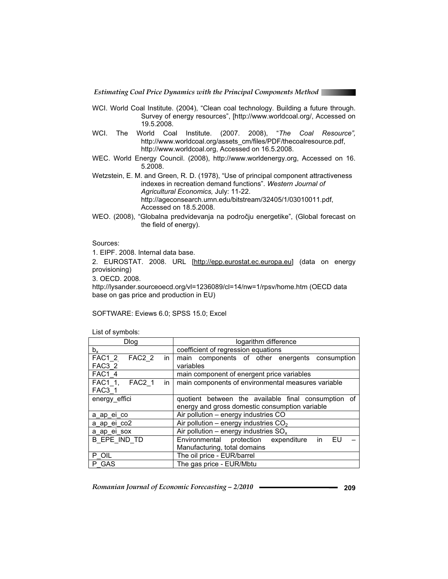

- WCI. World Coal Institute. (2004), "Clean coal technology. Building a future through. Survey of energy resources", [http://www.worldcoal.org/, Accessed on 19.5.2008.
- WCI. The World Coal Institute. (2007. 2008), "*The Coal Resource",* http://www.worldcoal.org/assets\_cm/files/PDF/thecoalresource.pdf, http://www.worldcoal.org, Accessed on 16.5.2008.
- WEC. World Energy Council. (2008), http://www.worldenergy.org, Accessed on 16. 5.2008.
- Wetzstein, E. M. and Green, R. D. (1978), "Use of principal component attractiveness indexes in recreation demand functions". *Western Journal of Agricultural Economics,* July: 11-22. http://ageconsearch.umn.edu/bitstream/32405/1/03010011.pdf, Accessed on 18.5.2008.
- WEO. (2008), "Globalna predvidevanja na področju energetike", (Global forecast on the field of energy).

Sources:

1. EIPF. 2008. Internal data base.

2. EUROSTAT. 2008. URL [http://epp.eurostat.ec.europa.eu] (data on energy provisioning)

3. OECD. 2008.

http://lysander.sourceoecd.org/vl=1236089/cl=14/nw=1/rpsv/home.htm (OECD data base on gas price and production in EU)

SOFTWARE: Eviews 6.0; SPSS 15.0; Excel

List of symbols:

| <b>Dlog</b>          | logarithm difference                                |  |  |  |
|----------------------|-----------------------------------------------------|--|--|--|
| $b_{x}$              | coefficient of regression equations                 |  |  |  |
| FAC1 2 FAC2 2 in     | main components of other energents consumption      |  |  |  |
| FAC3 2               | variables                                           |  |  |  |
| <b>FAC1 4</b>        | main component of energent price variables          |  |  |  |
| FAC1 1, FAC2 1<br>in | main components of environmental measures variable  |  |  |  |
| FAC3 1               |                                                     |  |  |  |
| energy effici        | quotient between the available final consumption of |  |  |  |
|                      | energy and gross domestic consumption variable      |  |  |  |
| a ap ei co           | Air pollution - energy industries CO                |  |  |  |
| a ap ei co2          | Air pollution – energy industries $CO2$             |  |  |  |
| a_ap_ei_sox          | Air pollution – energy industries $SO_x$            |  |  |  |
| B EPE IND TD         | Environmental protection expenditure<br>in<br>EU    |  |  |  |
|                      | Manufacturing, total domains                        |  |  |  |
| P OIL                | The oil price - EUR/barrel                          |  |  |  |
| P GAS                | The gas price - EUR/Mbtu                            |  |  |  |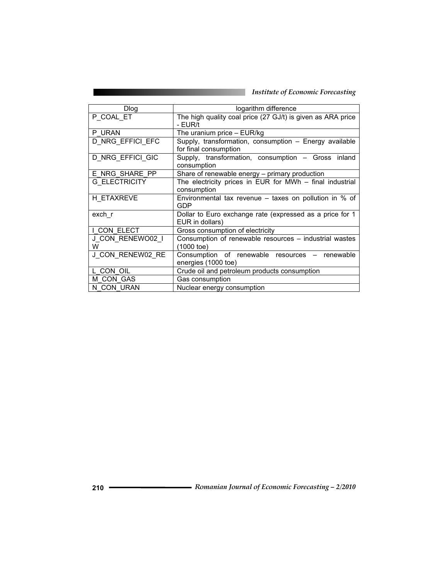| Dlog                  | logarithm difference                                                            |  |  |  |  |
|-----------------------|---------------------------------------------------------------------------------|--|--|--|--|
| P COAL ET             | The high quality coal price (27 GJ/t) is given as ARA price<br>- EUR/t          |  |  |  |  |
| P URAN                | The uranium price $-$ EUR/kg                                                    |  |  |  |  |
| D NRG EFFICI EFC      | Supply, transformation, consumption - Energy available<br>for final consumption |  |  |  |  |
| D_NRG_EFFICI_GIC      | Supply, transformation, consumption - Gross inland<br>consumption               |  |  |  |  |
| E NRG SHARE PP        | Share of renewable energy - primary production                                  |  |  |  |  |
| <b>G ELECTRICITY</b>  | The electricity prices in EUR for MWh - final industrial                        |  |  |  |  |
|                       | consumption                                                                     |  |  |  |  |
| H ETAXREVE            | Environmental tax revenue $-$ taxes on pollution in % of<br><b>GDP</b>          |  |  |  |  |
| exch r                | Dollar to Euro exchange rate (expressed as a price for 1<br>EUR in dollars)     |  |  |  |  |
| I CON ELECT           | Gross consumption of electricity                                                |  |  |  |  |
| J CON RENEWO02 I<br>W | Consumption of renewable resources - industrial wastes<br>(1000 toe)            |  |  |  |  |
| J CON RENEW02 RE      | Consumption of renewable resources - renewable<br>energies (1000 toe)           |  |  |  |  |
| L CON OIL             | Crude oil and petroleum products consumption                                    |  |  |  |  |
| M CON GAS             | Gas consumption                                                                 |  |  |  |  |
| N CON URAN            | Nuclear energy consumption                                                      |  |  |  |  |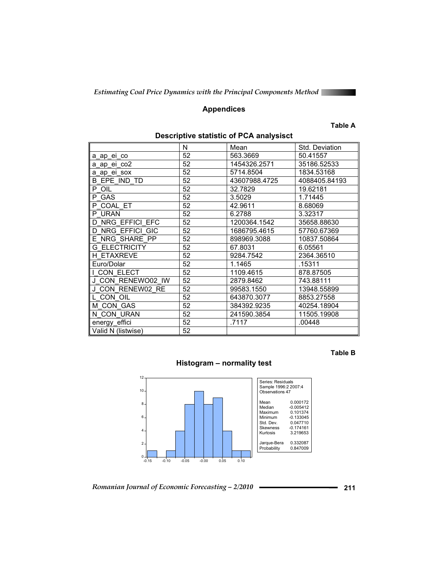

## **Appendices**

#### **Table A**

|                      | N  | Mean          | Std. Deviation |
|----------------------|----|---------------|----------------|
| a_ap_ei_co           | 52 | 563.3669      | 50.41557       |
| a_ap_ei_co2          | 52 | 1454326.2571  | 35186.52533    |
| a ap ei sox          | 52 | 5714.8504     | 1834.53168     |
| B EPE IND TD         | 52 | 43607988.4725 | 4088405.84193  |
| P OIL                | 52 | 32.7829       | 19.62181       |
| P GAS                | 52 | 3.5029        | 1.71445        |
| P COAL ET            | 52 | 42.9611       | 8.68069        |
| P URAN               | 52 | 6.2788        | 3.32317        |
| D NRG EFFICI EFC     | 52 | 1200364.1542  | 35658.88630    |
| D NRG EFFICI GIC     | 52 | 1686795.4615  | 57760.67369    |
| E NRG SHARE PP       | 52 | 898969.3088   | 10837.50864    |
| <b>G ELECTRICITY</b> | 52 | 67.8031       | 6.05561        |
| <b>H ETAXREVE</b>    | 52 | 9284.7542     | 2364.36510     |
| Euro/Dolar           | 52 | 1.1465        | .15311         |
| CON ELECT            | 52 | 1109.4615     | 878.87505      |
| J CON RENEWO02 IW    | 52 | 2879.8462     | 743.88111      |
| J CON RENEW02 RE     | 52 | 99583.1550    | 13948.55899    |
| L CON OIL            | 52 | 643870.3077   | 8853.27558     |
| M CON GAS            | 52 | 384392.9235   | 40254.18904    |
| N CON URAN           | 52 | 241590.3854   | 11505.19908    |
| energy_effici        | 52 | .7117         | .00448         |
| Valid N (listwise)   | 52 |               |                |

## **Descriptive statistic of PCA analysisct**

**Table B**